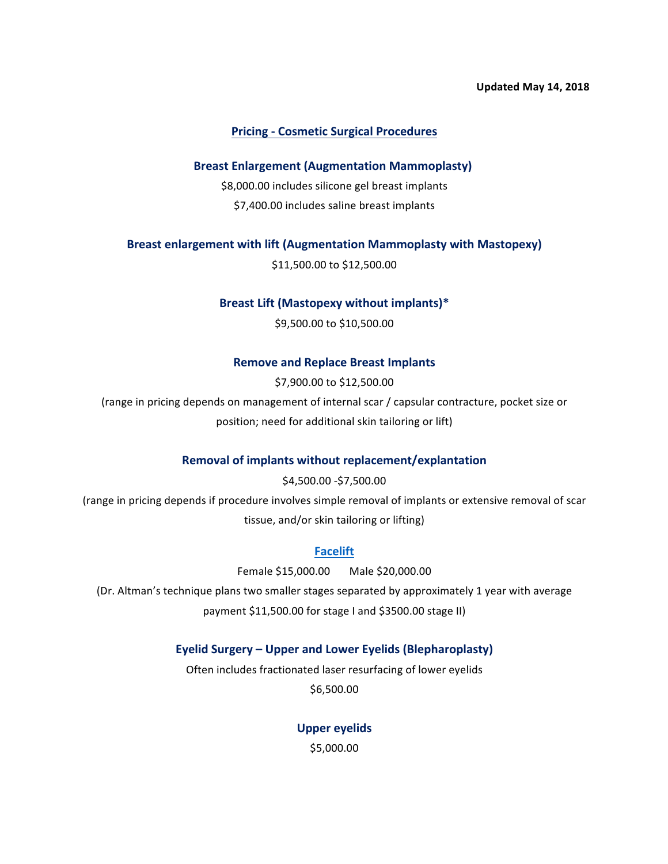#### **Updated May 14, 2018**

### **Pricing - Cosmetic Surgical Procedures**

#### **Breast Enlargement (Augmentation Mammoplasty)**

\$8,000.00 includes silicone gel breast implants \$7,400.00 includes saline breast implants

**Breast enlargement with lift (Augmentation Mammoplasty with Mastopexy)** 

\$11,500.00 to \$12,500.00

#### Breast Lift (Mastopexy without implants)\*

\$9,500.00 to \$10,500.00

#### **Remove and Replace Breast Implants**

\$7,900.00 to \$12,500.00

(range in pricing depends on management of internal scar / capsular contracture, pocket size or position; need for additional skin tailoring or lift)

#### **Removal of implants without replacement/explantation**

\$4,500.00 - \$7,500.00

(range in pricing depends if procedure involves simple removal of implants or extensive removal of scar tissue, and/or skin tailoring or lifting)

### **Facelift**

Female \$15,000.00 Male \$20,000.00

(Dr. Altman's technique plans two smaller stages separated by approximately 1 year with average payment \$11,500.00 for stage I and \$3500.00 stage II)

# Eyelid Surgery – Upper and Lower Eyelids (Blepharoplasty)

Often includes fractionated laser resurfacing of lower eyelids \$6,500.00

> **Upper eyelids**  \$5,000.00